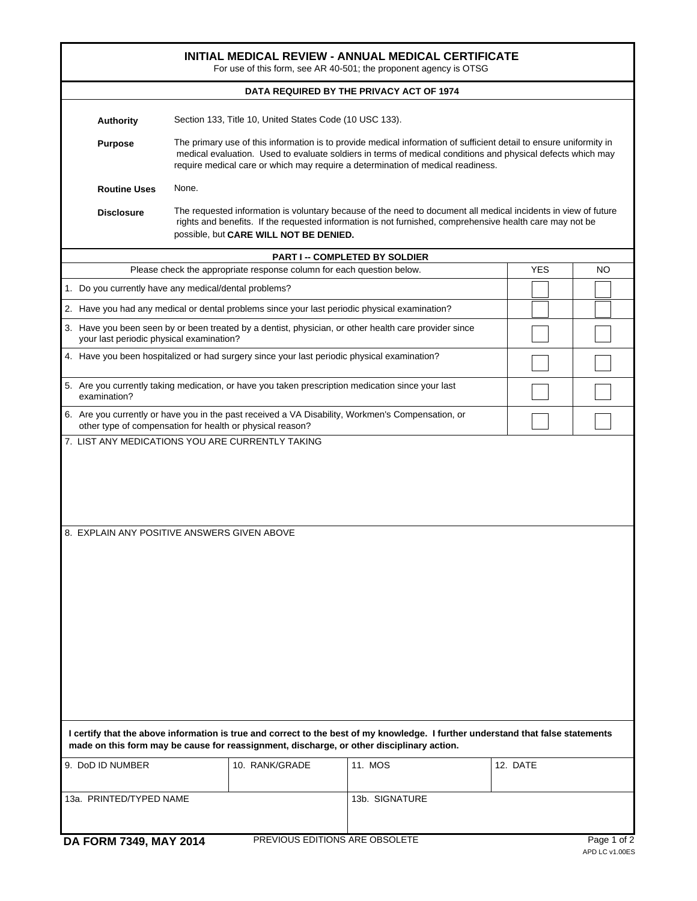| INITIAL MEDICAL REVIEW - ANNUAL MEDICAL CERTIFICATE<br>For use of this form, see AR 40-501; the proponent agency is OTSG                                                                                                                                                                                                               |                                                                       |                |            |     |  |  |  |  |  |  |  |
|----------------------------------------------------------------------------------------------------------------------------------------------------------------------------------------------------------------------------------------------------------------------------------------------------------------------------------------|-----------------------------------------------------------------------|----------------|------------|-----|--|--|--|--|--|--|--|
| DATA REQUIRED BY THE PRIVACY ACT OF 1974                                                                                                                                                                                                                                                                                               |                                                                       |                |            |     |  |  |  |  |  |  |  |
| <b>Authority</b>                                                                                                                                                                                                                                                                                                                       | Section 133, Title 10, United States Code (10 USC 133).               |                |            |     |  |  |  |  |  |  |  |
| The primary use of this information is to provide medical information of sufficient detail to ensure uniformity in<br><b>Purpose</b><br>medical evaluation. Used to evaluate soldiers in terms of medical conditions and physical defects which may<br>require medical care or which may require a determination of medical readiness. |                                                                       |                |            |     |  |  |  |  |  |  |  |
| <b>Routine Uses</b>                                                                                                                                                                                                                                                                                                                    | None.                                                                 |                |            |     |  |  |  |  |  |  |  |
| The requested information is voluntary because of the need to document all medical incidents in view of future<br><b>Disclosure</b><br>rights and benefits. If the requested information is not furnished, comprehensive health care may not be<br>possible, but CARE WILL NOT BE DENIED.                                              |                                                                       |                |            |     |  |  |  |  |  |  |  |
| <b>PART I -- COMPLETED BY SOLDIER</b>                                                                                                                                                                                                                                                                                                  |                                                                       |                |            |     |  |  |  |  |  |  |  |
|                                                                                                                                                                                                                                                                                                                                        | Please check the appropriate response column for each question below. |                | <b>YES</b> | NO. |  |  |  |  |  |  |  |
|                                                                                                                                                                                                                                                                                                                                        | 1. Do you currently have any medical/dental problems?                 |                |            |     |  |  |  |  |  |  |  |
| 2. Have you had any medical or dental problems since your last periodic physical examination?                                                                                                                                                                                                                                          |                                                                       |                |            |     |  |  |  |  |  |  |  |
| 3. Have you been seen by or been treated by a dentist, physician, or other health care provider since<br>your last periodic physical examination?                                                                                                                                                                                      |                                                                       |                |            |     |  |  |  |  |  |  |  |
| 4. Have you been hospitalized or had surgery since your last periodic physical examination?                                                                                                                                                                                                                                            |                                                                       |                |            |     |  |  |  |  |  |  |  |
| 5. Are you currently taking medication, or have you taken prescription medication since your last<br>examination?                                                                                                                                                                                                                      |                                                                       |                |            |     |  |  |  |  |  |  |  |
| 6. Are you currently or have you in the past received a VA Disability, Workmen's Compensation, or<br>other type of compensation for health or physical reason?                                                                                                                                                                         |                                                                       |                |            |     |  |  |  |  |  |  |  |
| 8. EXPLAIN ANY POSITIVE ANSWERS GIVEN ABOVE                                                                                                                                                                                                                                                                                            |                                                                       |                |            |     |  |  |  |  |  |  |  |
| I certify that the above information is true and correct to the best of my knowledge. I further understand that false statements<br>made on this form may be cause for reassignment, discharge, or other disciplinary action.<br>9. DoD ID NUMBER<br>11. MOS<br>12. DATE<br>10. RANK/GRADE                                             |                                                                       |                |            |     |  |  |  |  |  |  |  |
|                                                                                                                                                                                                                                                                                                                                        |                                                                       |                |            |     |  |  |  |  |  |  |  |
| 13a. PRINTED/TYPED NAME                                                                                                                                                                                                                                                                                                                |                                                                       | 13b. SIGNATURE |            |     |  |  |  |  |  |  |  |

**DA FORM 7349, MAY 2014**